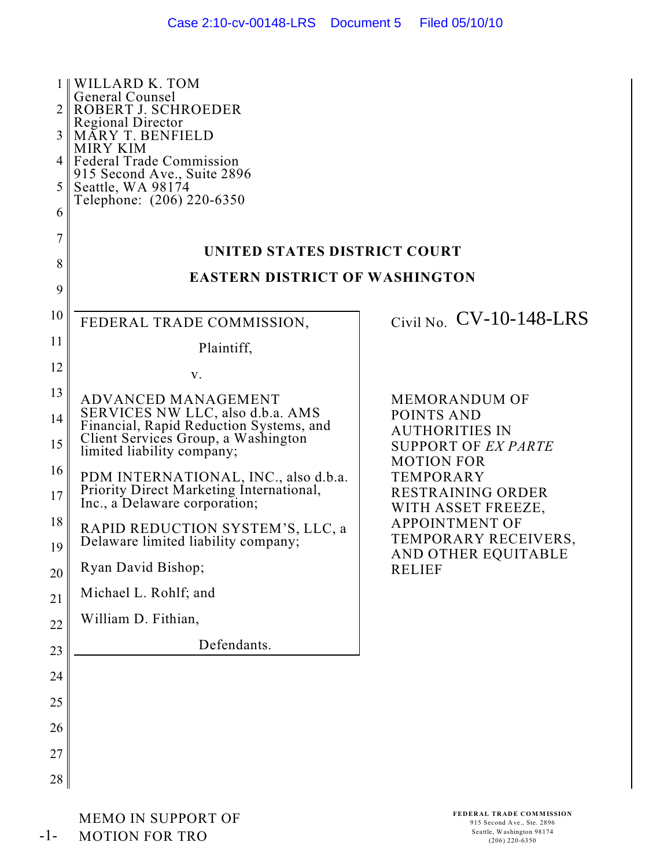| 2<br>3<br>4<br>5<br>6 | <b>WILLARD K. TOM</b><br><b>General Counsel</b><br>ROBERT J. SCHROEDER<br><b>Regional Director</b><br><b>MÁRY T. BENFIELD</b><br><b>MIRY KIM</b><br><b>Federal Trade Commission</b><br>915 Second Ave., Suite 2896<br>Seattle, WA 98174<br>Telephone: (206) 220-6350 |                                                                                         |  |  |  |
|-----------------------|----------------------------------------------------------------------------------------------------------------------------------------------------------------------------------------------------------------------------------------------------------------------|-----------------------------------------------------------------------------------------|--|--|--|
| 7                     | UNITED STATES DISTRICT COURT                                                                                                                                                                                                                                         |                                                                                         |  |  |  |
| 8                     | <b>EASTERN DISTRICT OF WASHINGTON</b>                                                                                                                                                                                                                                |                                                                                         |  |  |  |
| 9                     |                                                                                                                                                                                                                                                                      |                                                                                         |  |  |  |
| 10                    | FEDERAL TRADE COMMISSION,                                                                                                                                                                                                                                            | Civil No. $CV-10-148-LRS$                                                               |  |  |  |
| 11                    | Plaintiff,                                                                                                                                                                                                                                                           |                                                                                         |  |  |  |
| 12                    | V.                                                                                                                                                                                                                                                                   |                                                                                         |  |  |  |
| 13<br>14              | ADVANCED MANAGEMENT<br>SERVICES NW LLC, also d.b.a. AMS<br>Financial, Rapid Reduction Systems, and                                                                                                                                                                   | <b>MEMORANDUM OF</b><br>POINTS AND                                                      |  |  |  |
| 15                    | Client Services Group, a Washington<br>limited liability company;                                                                                                                                                                                                    | <b>AUTHORITIES IN</b><br><b>SUPPORT OF EX PARTE</b>                                     |  |  |  |
| 16<br>17              | PDM INTERNATIONAL, INC., also d.b.a.<br>Priority Direct Marketing International,<br>Inc., a Delaware corporation;                                                                                                                                                    | <b>MOTION FOR</b><br><b>TEMPORARY</b><br><b>RESTRAINING ORDER</b><br>WITH ASSET FREEZE, |  |  |  |
| 18<br>19              | RAPID REDUCTION SYSTEM'S, LLC, a<br>Delaware limited liability company;                                                                                                                                                                                              | <b>APPOINTMENT OF</b><br>TEMPORARY RECEIVERS,<br>AND OTHER EQUITABLE                    |  |  |  |
| 20                    | Ryan David Bishop;                                                                                                                                                                                                                                                   | <b>RELIEF</b>                                                                           |  |  |  |
| 21                    | Michael L. Rohlf; and                                                                                                                                                                                                                                                |                                                                                         |  |  |  |
| 22                    | William D. Fithian,                                                                                                                                                                                                                                                  |                                                                                         |  |  |  |
| 23                    | Defendants.                                                                                                                                                                                                                                                          |                                                                                         |  |  |  |
| 24                    |                                                                                                                                                                                                                                                                      |                                                                                         |  |  |  |
| 25                    |                                                                                                                                                                                                                                                                      |                                                                                         |  |  |  |
| 26                    |                                                                                                                                                                                                                                                                      |                                                                                         |  |  |  |
| 27                    |                                                                                                                                                                                                                                                                      |                                                                                         |  |  |  |
| 28                    |                                                                                                                                                                                                                                                                      |                                                                                         |  |  |  |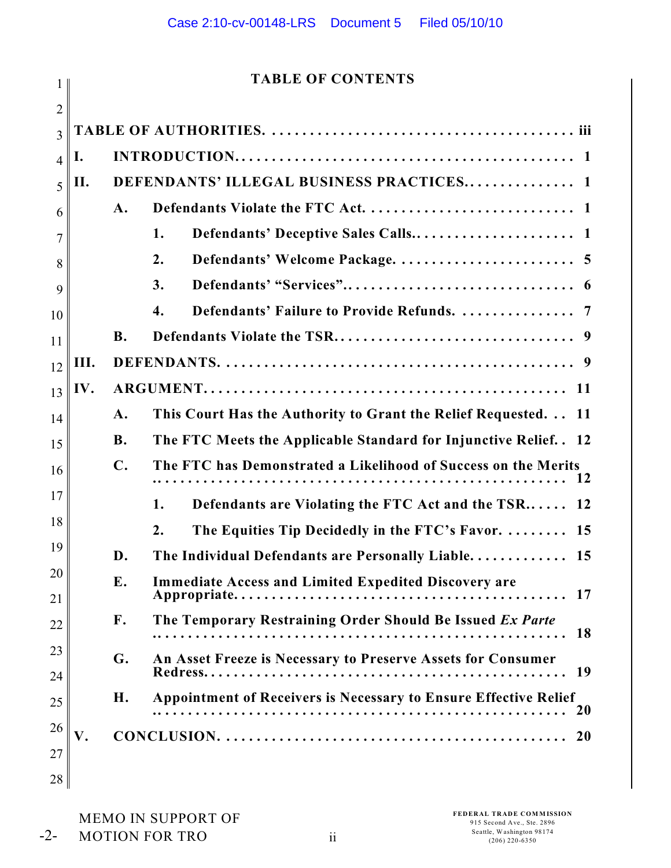# **TABLE OF CONTENTS**

|                | TABLE OF CONTENTS |                |                                                                         |
|----------------|-------------------|----------------|-------------------------------------------------------------------------|
| $\overline{2}$ |                   |                |                                                                         |
| 3              |                   |                |                                                                         |
| $\overline{4}$ | I.                |                |                                                                         |
| 5              | П.                |                | DEFENDANTS' ILLEGAL BUSINESS PRACTICES 1                                |
| 6              |                   | A.             |                                                                         |
| 7              |                   |                | Defendants' Deceptive Sales Calls 1<br>1.                               |
| 8              |                   |                | 2.                                                                      |
| 9              |                   |                | 3.                                                                      |
| 10             |                   |                | Defendants' Failure to Provide Refunds.  7<br>4.                        |
| 11             |                   | <b>B.</b>      |                                                                         |
| 12             | Ш.                |                |                                                                         |
| 13             | IV.               |                |                                                                         |
| 14             |                   | $\mathbf{A}$ . | This Court Has the Authority to Grant the Relief Requested. 11          |
| 15             |                   | <b>B.</b>      | The FTC Meets the Applicable Standard for Injunctive Relief. . 12       |
| 16             |                   | $\mathbf{C}$ . | The FTC has Demonstrated a Likelihood of Success on the Merits          |
| 17             |                   |                | Defendants are Violating the FTC Act and the TSR 12<br>1.               |
| 18             |                   |                | The Equities Tip Decidedly in the FTC's Favor.  15<br>$\overline{2}$ .  |
| 19             |                   | D.             | The Individual Defendants are Personally Liable 15                      |
| 20             |                   | E.             | <b>Immediate Access and Limited Expedited Discovery are</b>             |
| 21             |                   |                | 17                                                                      |
| 22             |                   | $\mathbf{F}$ . | The Temporary Restraining Order Should Be Issued Ex Parte<br><b>18</b>  |
| 23             |                   | G.             | An Asset Freeze is Necessary to Preserve Assets for Consumer<br>19      |
| 24             |                   |                | <b>Appointment of Receivers is Necessary to Ensure Effective Relief</b> |
| 25             |                   | Η.             | <b>20</b>                                                               |
| 26             | V.                |                |                                                                         |
| 27             |                   |                |                                                                         |
| 28             |                   |                |                                                                         |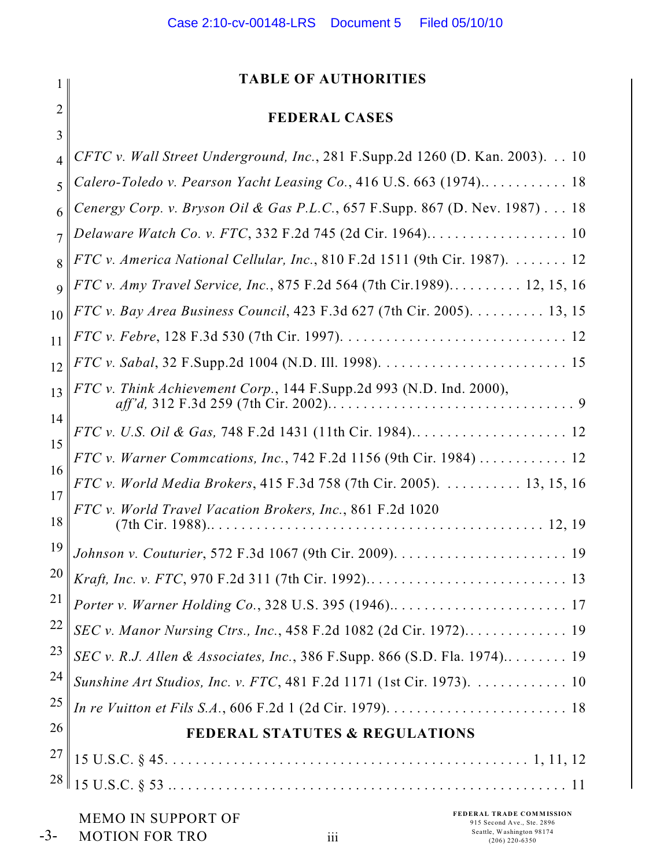# **TABLE OF AUTHORITIES**

# **FEDERAL CASES**

| 3                        |                                                                                     |
|--------------------------|-------------------------------------------------------------------------------------|
| $\overline{\mathcal{L}}$ | CFTC v. Wall Street Underground, Inc., 281 F.Supp.2d 1260 (D. Kan. 2003). 10        |
| 5                        | Calero-Toledo v. Pearson Yacht Leasing Co., 416 U.S. 663 (1974) 18                  |
| 6                        | Cenergy Corp. v. Bryson Oil & Gas P.L.C., 657 F.Supp. 867 (D. Nev. 1987) 18         |
| 7                        |                                                                                     |
| 8                        | FTC v. America National Cellular, Inc., 810 F.2d 1511 (9th Cir. 1987). 12           |
| $\mathbf Q$              | FTC v. Amy Travel Service, Inc., 875 F.2d 564 (7th Cir.1989) 12, 15, 16             |
| 10                       | FTC v. Bay Area Business Council, 423 F.3d 627 (7th Cir. 2005). 13, 15              |
| 11                       |                                                                                     |
| 12                       |                                                                                     |
| 13                       | FTC v. Think Achievement Corp., 144 F.Supp.2d 993 (N.D. Ind. 2000),                 |
| 14                       |                                                                                     |
| 15                       | FTC v. Warner Commcations, Inc., 742 F.2d 1156 (9th Cir. 1984)  12                  |
| 16                       | FTC v. World Media Brokers, 415 F.3d 758 (7th Cir. 2005). 13, 15, 16                |
| 17<br>18                 | FTC v. World Travel Vacation Brokers, Inc., 861 F.2d 1020                           |
| 19                       |                                                                                     |
| 20                       |                                                                                     |
| 21                       |                                                                                     |
| 22                       | SEC v. Manor Nursing Ctrs., Inc., 458 F.2d 1082 (2d Cir. 1972) 19                   |
| 23                       | SEC v. R.J. Allen & Associates, Inc., 386 F.Supp. 866 (S.D. Fla. 1974) 19           |
| 24                       | Sunshine Art Studios, Inc. v. FTC, 481 F.2d 1171 (1st Cir. 1973). 10                |
| 25                       |                                                                                     |
| 26                       | <b>FEDERAL STATUTES &amp; REGULATIONS</b>                                           |
| 27                       |                                                                                     |
| 28                       |                                                                                     |
|                          | <b>FEDERAL TRADE COMMISSION</b><br>MEMO IN SUPPORT OF<br>915 Second Ave., Ste. 2896 |

1

2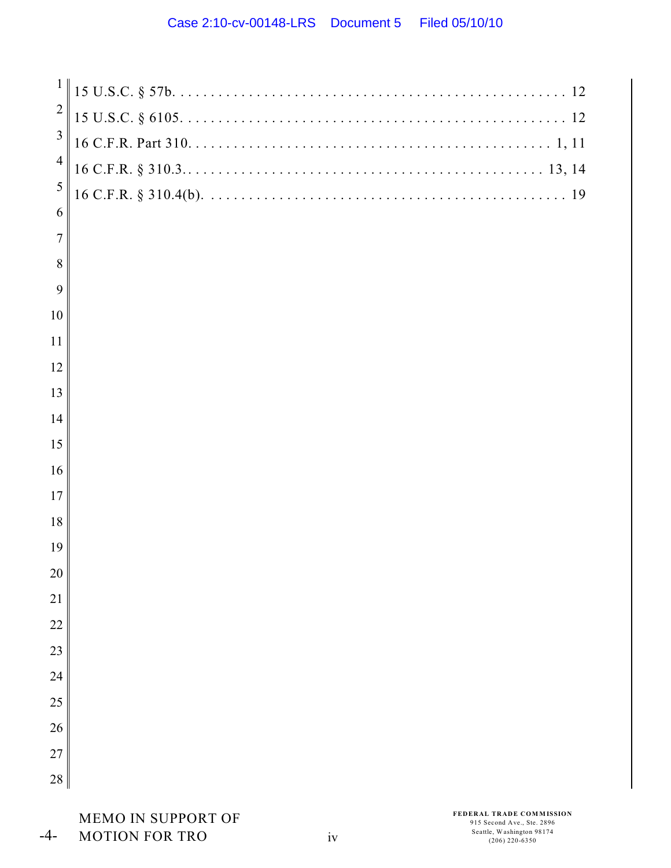| $\mathbf{1}$   |  |
|----------------|--|
| $\overline{2}$ |  |
| $\mathfrak{Z}$ |  |
| $\overline{4}$ |  |
| 5              |  |
| 6              |  |
| $\overline{7}$ |  |
| 8              |  |
| 9              |  |
| 10             |  |
| 11             |  |
| 12             |  |
| 13             |  |
| 14             |  |
| 15             |  |
| 16             |  |
| 17             |  |
| 18             |  |
| 19             |  |
| 20             |  |
| 21             |  |
| 22             |  |
| 23             |  |
| 24             |  |
| 25             |  |
| 26             |  |
| 27             |  |
| 28             |  |
|                |  |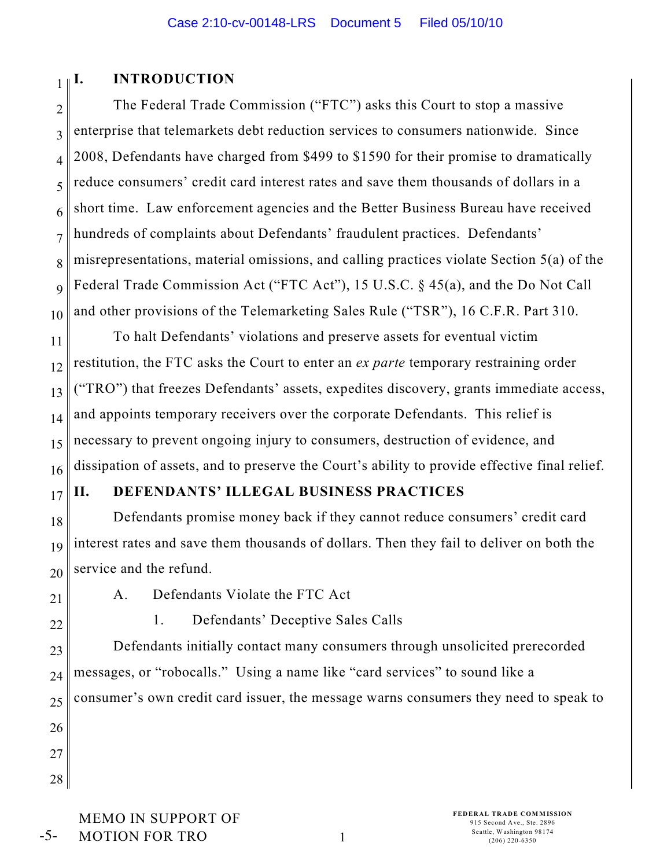#### 1 **I. INTRODUCTION**

2 3 4 5 6 7 8 9 10 The Federal Trade Commission ("FTC") asks this Court to stop a massive enterprise that telemarkets debt reduction services to consumers nationwide. Since 2008, Defendants have charged from \$499 to \$1590 for their promise to dramatically reduce consumers' credit card interest rates and save them thousands of dollars in a short time. Law enforcement agencies and the Better Business Bureau have received hundreds of complaints about Defendants' fraudulent practices. Defendants' misrepresentations, material omissions, and calling practices violate Section 5(a) of the Federal Trade Commission Act ("FTC Act"), 15 U.S.C. § 45(a), and the Do Not Call and other provisions of the Telemarketing Sales Rule ("TSR"), 16 C.F.R. Part 310.

11 12 13 14 15 16 To halt Defendants' violations and preserve assets for eventual victim restitution, the FTC asks the Court to enter an *ex parte* temporary restraining order ("TRO") that freezes Defendants' assets, expedites discovery, grants immediate access, and appoints temporary receivers over the corporate Defendants. This relief is necessary to prevent ongoing injury to consumers, destruction of evidence, and dissipation of assets, and to preserve the Court's ability to provide effective final relief.

## 17

# **II. DEFENDANTS' ILLEGAL BUSINESS PRACTICES**

18 19 20 Defendants promise money back if they cannot reduce consumers' credit card interest rates and save them thousands of dollars. Then they fail to deliver on both the service and the refund.

21

A. Defendants Violate the FTC Act

22

1. Defendants' Deceptive Sales Calls

23 24 25 26 Defendants initially contact many consumers through unsolicited prerecorded messages, or "robocalls." Using a name like "card services" to sound like a consumer's own credit card issuer, the message warns consumers they need to speak to

27 28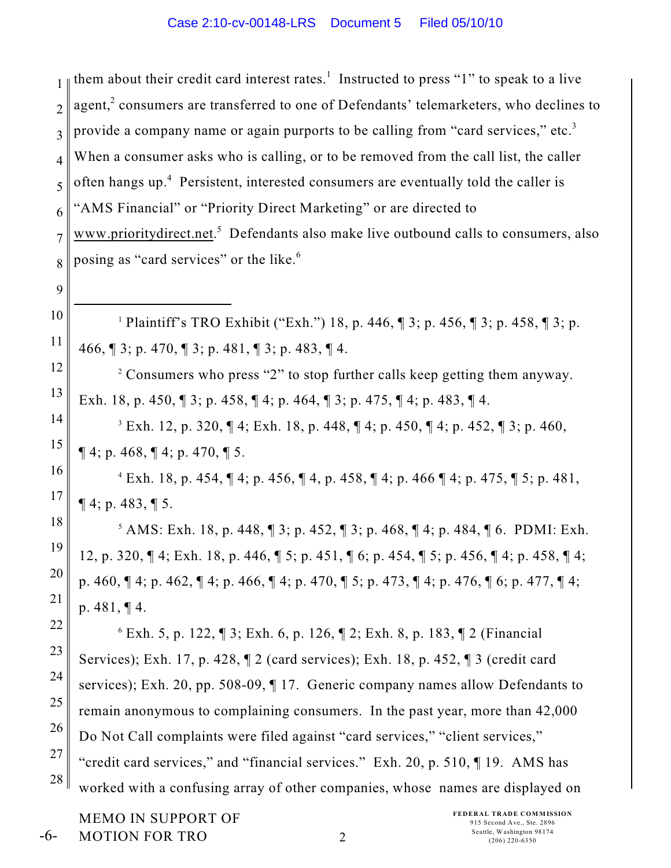1 2 3 4 5 6 7 8 9 10 11 12 13 14 15 16 17 18 19 20 21 22 23 24 25 26 27 28 <sup>1</sup> Plaintiff's TRO Exhibit ("Exh.") 18, p. 446,  $\parallel$  3; p. 456,  $\parallel$  3; p. 458,  $\parallel$  3; p. 466, ¶ 3; p. 470, ¶ 3; p. 481, ¶ 3; p. 483, ¶ 4.  $\degree$  Consumers who press "2" to stop further calls keep getting them anyway. Exh. 18, p. 450, ¶ 3; p. 458, ¶ 4; p. 464, ¶ 3; p. 475, ¶ 4; p. 483, ¶ 4.  $^3$  Exh. 12, p. 320,  $\P$  4; Exh. 18, p. 448,  $\P$  4; p. 450,  $\P$  4; p. 452,  $\P$  3; p. 460,  $\P$  4; p. 468,  $\P$  4; p. 470,  $\P$  5.  $E$ xh. 18, p. 454,  $\P$  4; p. 456,  $\P$  4, p. 458,  $\P$  4; p. 466  $\P$  4; p. 475,  $\P$  5; p. 481,  $\P$  4; p. 483,  $\P$  5.  $5$  AMS: Exh. 18, p. 448,  $\sqrt{3}$ ; p. 452,  $\sqrt{3}$ ; p. 468,  $\sqrt{4}$ ; p. 484,  $\sqrt{6}$ . PDMI: Exh. 12, p. 320, ¶ 4; Exh. 18, p. 446, ¶ 5; p. 451, ¶ 6; p. 454, ¶ 5; p. 456, ¶ 4; p. 458, ¶ 4; p. 460, ¶ 4; p. 462, ¶ 4; p. 466, ¶ 4; p. 470, ¶ 5; p. 473, ¶ 4; p. 476, ¶ 6; p. 477, ¶ 4; p. 481, ¶ 4.  $6$  Exh. 5, p. 122,  $\sqrt{3}$ ; Exh. 6, p. 126,  $\sqrt{2}$ ; Exh. 8, p. 183,  $\sqrt{2}$  (Financial Services); Exh. 17, p. 428, ¶ 2 (card services); Exh. 18, p. 452, ¶ 3 (credit card services); Exh. 20, pp. 508-09, ¶ 17. Generic company names allow Defendants to remain anonymous to complaining consumers. In the past year, more than 42,000 Do Not Call complaints were filed against "card services," "client services," "credit card services," and "financial services." Exh. 20, p. 510, ¶ 19. AMS has worked with a confusing array of other companies, whose names are displayed on them about their credit card interest rates.<sup>1</sup> Instructed to press "1" to speak to a live agent, $2$  consumers are transferred to one of Defendants' telemarketers, who declines to provide a company name or again purports to be calling from "card services," etc.<sup>3</sup> When a consumer asks who is calling, or to be removed from the call list, the caller often hangs up.<sup>4</sup> Persistent, interested consumers are eventually told the caller is "AMS Financial" or "Priority Direct Marketing" or are directed to www.prioritydirect.net.<sup>5</sup> Defendants also make live outbound calls to consumers, also posing as "card services" or the like. <sup>6</sup>

MEMO IN SUPPORT OF MOTION FOR TRO -6-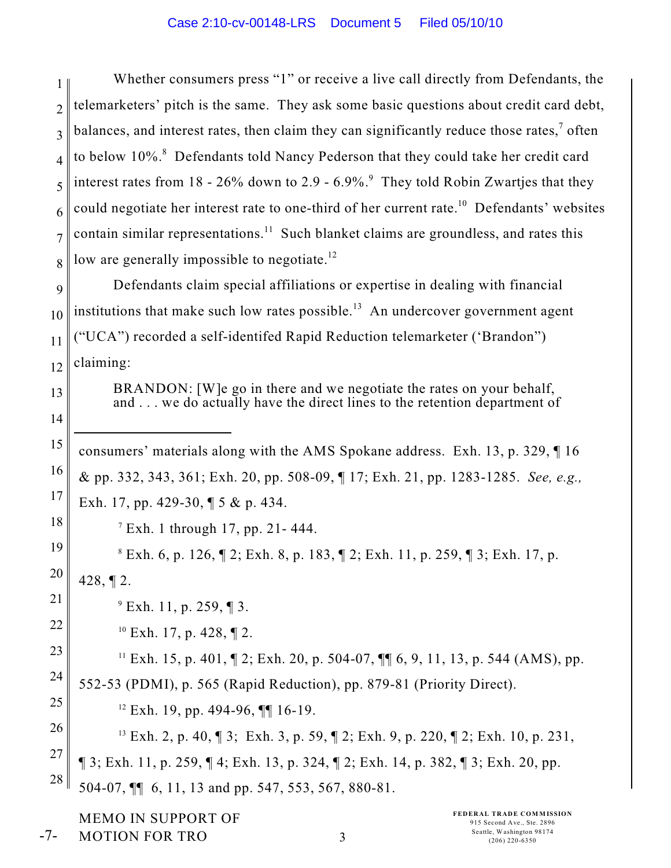1 2 3 4 5 6 7 8 Whether consumers press "1" or receive a live call directly from Defendants, the telemarketers' pitch is the same. They ask some basic questions about credit card debt, balances, and interest rates, then claim they can significantly reduce those rates, $<sup>7</sup>$  often</sup> to below 10%.<sup>8</sup> Defendants told Nancy Pederson that they could take her credit card interest rates from  $18 - 26\%$  down to  $2.9 - 6.9\%$ . They told Robin Zwartjes that they could negotiate her interest rate to one-third of her current rate.<sup>10</sup> Defendants' websites contain similar representations.<sup>11</sup> Such blanket claims are groundless, and rates this low are generally impossible to negotiate.<sup>12</sup>

9 10 11 12 Defendants claim special affiliations or expertise in dealing with financial institutions that make such low rates possible.<sup>13</sup> An undercover government agent ("UCA") recorded a self-identifed Rapid Reduction telemarketer ('Brandon") claiming:

> BRANDON: [W]e go in there and we negotiate the rates on your behalf, and . . . we do actually have the direct lines to the retention department of

15 16 17 consumers' materials along with the AMS Spokane address. Exh. 13, p. 329, ¶ 16 & pp. 332, 343, 361; Exh. 20, pp. 508-09, ¶ 17; Exh. 21, pp. 1283-1285. *See, e.g.,* Exh. 17, pp. 429-30, ¶ 5 & p. 434.

 $^7$  Exh. 1 through 17, pp. 21 - 444.

19 20  $E$ s Exh. 6, p. 126,  $\P$  2; Exh. 8, p. 183,  $\P$  2; Exh. 11, p. 259,  $\P$  3; Exh. 17, p. 428, ¶ 2.

 $^{9}$  Exh. 11, p. 259, ¶ 3.

 $10$  Exh. 17, p. 428,  $\P$  2.

13

14

18

21

22

-7-

23 24 25 <sup>11</sup> Exh. 15, p. 401,  $\mathbb{I}$  2; Exh. 20, p. 504-07,  $\mathbb{I}$  6, 9, 11, 13, p. 544 (AMS), pp. 552-53 (PDMI), p. 565 (Rapid Reduction), pp. 879-81 (Priority Direct).

 $12$  Exh. 19, pp. 494-96, [[1] 16-19.

26 27 28 <sup>13</sup> Exh. 2, p. 40,  $\sqrt{3}$ ; Exh. 3, p. 59,  $\sqrt{2}$ ; Exh. 9, p. 220,  $\sqrt{2}$ ; Exh. 10, p. 231, ¶ 3; Exh. 11, p. 259, ¶ 4; Exh. 13, p. 324, ¶ 2; Exh. 14, p. 382, ¶ 3; Exh. 20, pp. 504-07, ¶¶ 6, 11, 13 and pp. 547, 553, 567, 880-81.

MEMO IN SUPPORT OF MOTION FOR TRO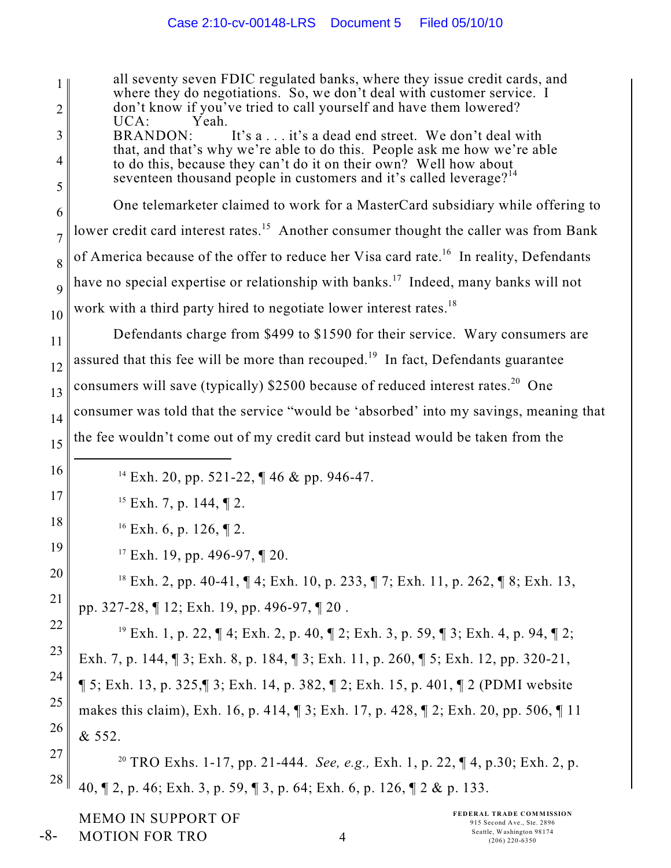1 2 3 4 5 6 7 8 9 10 11 12 13 14 15 16 17 18 <sup>14</sup> Exh. 20, pp. 521-22, ¶ 46 & pp. 946-47. <sup>15</sup> Exh. 7, p. 144,  $\P$  2.  $^{16}$  Exh. 6, p. 126, ¶ 2. all seventy seven FDIC regulated banks, where they issue credit cards, and where they do negotiations. So, we don't deal with customer service. I don't know if you've tried to call yourself and have them lowered?<br>UCA: Yeah. UCA:<br>BRANDON: It's a... it's a dead end street. We don't deal with that, and that's why we're able to do this. People ask me how we're able to do this, because they can't do it on their own? Well how about seventeen thousand people in customers and it's called leverage?<sup>14</sup> One telemarketer claimed to work for a MasterCard subsidiary while offering to lower credit card interest rates.<sup>15</sup> Another consumer thought the caller was from Bank of America because of the offer to reduce her Visa card rate.<sup>16</sup> In reality, Defendants have no special expertise or relationship with banks.<sup>17</sup> Indeed, many banks will not work with a third party hired to negotiate lower interest rates.<sup>18</sup> Defendants charge from \$499 to \$1590 for their service. Wary consumers are assured that this fee will be more than recouped.<sup>19</sup> In fact, Defendants guarantee consumers will save (typically)  $$2500$  because of reduced interest rates.<sup>20</sup> One consumer was told that the service "would be 'absorbed' into my savings, meaning that the fee wouldn't come out of my credit card but instead would be taken from the

<sup>17</sup> Exh. 19, pp. 496-97,  $\P$  20.

19

20

21

<sup>18</sup> Exh. 2, pp. 40-41,  $\P$  4; Exh. 10, p. 233,  $\P$  7; Exh. 11, p. 262,  $\P$  8; Exh. 13, pp. 327-28, ¶ 12; Exh. 19, pp. 496-97, ¶ 20 .

22 23 24 25 26 <sup>19</sup> Exh. 1, p. 22,  $\P$  4; Exh. 2, p. 40,  $\P$  2; Exh. 3, p. 59,  $\P$  3; Exh. 4, p. 94,  $\P$  2; Exh. 7, p. 144, ¶ 3; Exh. 8, p. 184, ¶ 3; Exh. 11, p. 260, ¶ 5; Exh. 12, pp. 320-21, ¶ 5; Exh. 13, p. 325,¶ 3; Exh. 14, p. 382, ¶ 2; Exh. 15, p. 401, ¶ 2 (PDMI website makes this claim), Exh. 16, p. 414, ¶ 3; Exh. 17, p. 428, ¶ 2; Exh. 20, pp. 506, ¶ 11 & 552.

27 28 <sup>20</sup> TRO Exhs. 1-17, pp. 21-444. *See, e.g.*, Exh. 1, p. 22, ¶ 4, p.30; Exh. 2, p. 40, ¶ 2, p. 46; Exh. 3, p. 59, ¶ 3, p. 64; Exh. 6, p. 126, ¶ 2 & p. 133.

MEMO IN SUPPORT OF MOTION FOR TRO -8-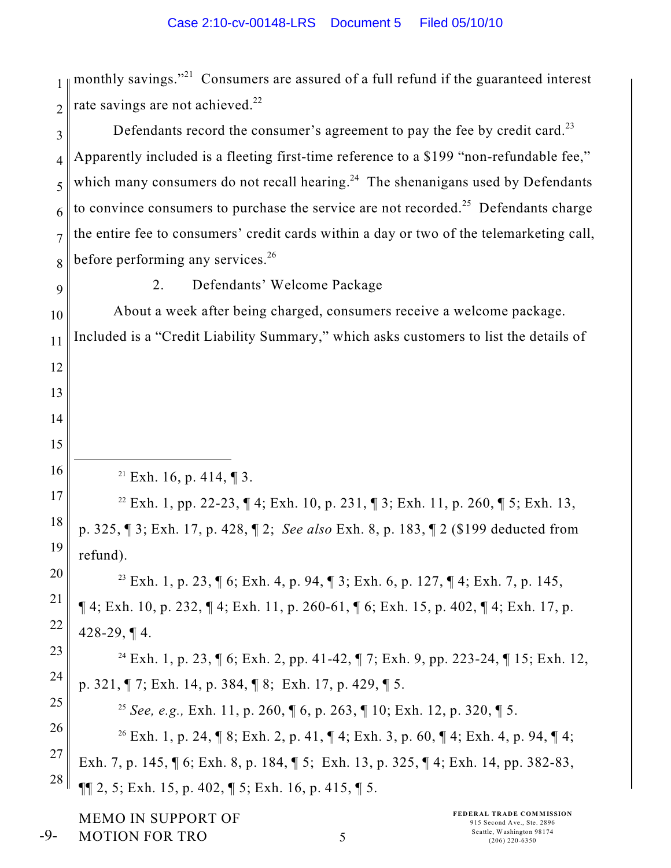1 2 3 4 5 6 7 8 9 10 11 12 13 14 15 16 17 18 19 20 21 22 23 24 25 26 27 28  $21$  Exh. 16, p. 414, 13. <sup>22</sup> Exh. 1, pp. 22-23, ¶ 4; Exh. 10, p. 231, ¶ 3; Exh. 11, p. 260, ¶ 5; Exh. 13, p. 325, ¶ 3; Exh. 17, p. 428, ¶ 2; *See also* Exh. 8, p. 183, ¶ 2 (\$199 deducted from refund). <sup>23</sup> Exh. 1, p. 23, ¶ 6; Exh. 4, p. 94, ¶ 3; Exh. 6, p. 127, ¶ 4; Exh. 7, p. 145,  $\P$  4; Exh. 10, p. 232,  $\P$  4; Exh. 11, p. 260-61,  $\P$  6; Exh. 15, p. 402,  $\P$  4; Exh. 17, p. 428-29, ¶ 4. <sup>24</sup> Exh. 1, p. 23, ¶ 6; Exh. 2, pp. 41-42, ¶ 7; Exh. 9, pp. 223-24, ¶ 15; Exh. 12, p. 321, ¶ 7; Exh. 14, p. 384, ¶ 8; Exh. 17, p. 429, ¶ 5. <sup>25</sup> See, e.g., Exh. 11, p. 260,  $\sqrt{6}$ , p. 263,  $\sqrt{10}$ ; Exh. 12, p. 320,  $\sqrt{15}$ . <sup>26</sup> Exh. 1, p. 24, ¶ 8; Exh. 2, p. 41, ¶ 4; Exh. 3, p. 60, ¶ 4; Exh. 4, p. 94, ¶ 4; Exh. 7, p. 145, ¶ 6; Exh. 8, p. 184, ¶ 5; Exh. 13, p. 325, ¶ 4; Exh. 14, pp. 382-83,  $\P\P$  2, 5; Exh. 15, p. 402,  $\P$  5; Exh. 16, p. 415,  $\P$  5. monthly savings."<sup>21</sup> Consumers are assured of a full refund if the guaranteed interest rate savings are not achieved.<sup>22</sup> Defendants record the consumer's agreement to pay the fee by credit card.<sup>23</sup> Apparently included is a fleeting first-time reference to a \$199 "non-refundable fee," which many consumers do not recall hearing.<sup>24</sup> The shenanigans used by Defendants to convince consumers to purchase the service are not recorded.<sup>25</sup> Defendants charge the entire fee to consumers' credit cards within a day or two of the telemarketing call, before performing any services. $26$ 2. Defendants' Welcome Package About a week after being charged, consumers receive a welcome package. Included is a "Credit Liability Summary," which asks customers to list the details of

MEMO IN SUPPORT OF MOTION FOR TRO

-9-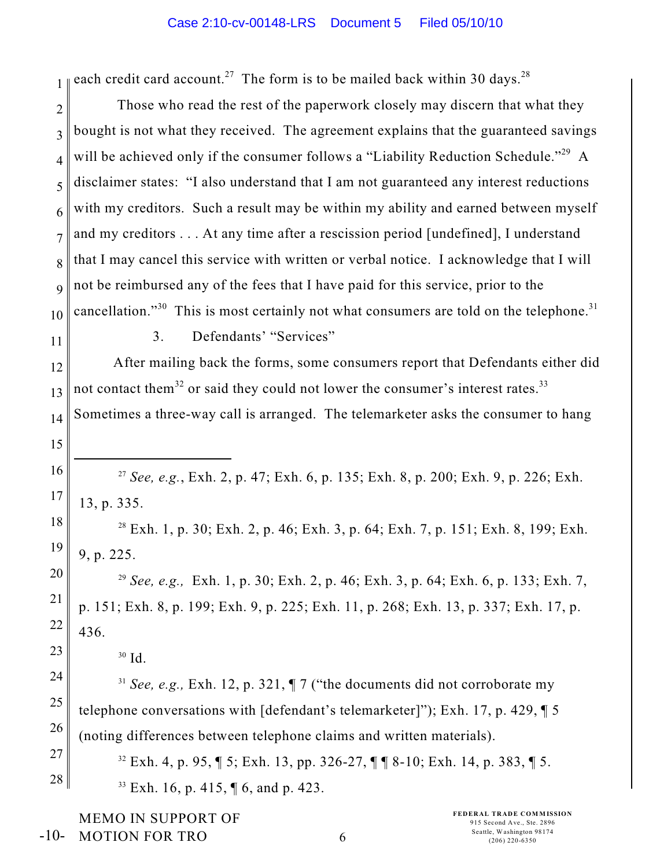1 each credit card account.<sup>27</sup> The form is to be mailed back within 30 days.<sup>28</sup>

2 3 4 5 6 7 8 9 10 Those who read the rest of the paperwork closely may discern that what they bought is not what they received. The agreement explains that the guaranteed savings will be achieved only if the consumer follows a "Liability Reduction Schedule."<sup>29</sup> A disclaimer states: "I also understand that I am not guaranteed any interest reductions with my creditors. Such a result may be within my ability and earned between myself and my creditors . . . At any time after a rescission period [undefined], I understand that I may cancel this service with written or verbal notice. I acknowledge that I will not be reimbursed any of the fees that I have paid for this service, prior to the cancellation."<sup>30</sup> This is most certainly not what consumers are told on the telephone.<sup>31</sup>

11

15

23

24

25

26

27

28

3. Defendants' "Services"

12 13 14 After mailing back the forms, some consumers report that Defendants either did not contact them<sup>32</sup> or said they could not lower the consumer's interest rates.<sup>33</sup> Sometimes a three-way call is arranged. The telemarketer asks the consumer to hang

16 17 <sup>27</sup> See, e.g., Exh. 2, p. 47; Exh. 6, p. 135; Exh. 8, p. 200; Exh. 9, p. 226; Exh. 13, p. 335.

18 19 <sup>28</sup> Exh. 1, p. 30; Exh. 2, p. 46; Exh. 3, p. 64; Exh. 7, p. 151; Exh. 8, 199; Exh. 9, p. 225.

20 21 22  *See, e.g.,* Exh. 1, p. 30; Exh. 2, p. 46; Exh. 3, p. 64; Exh. 6, p. 133; Exh. 7, <sup>29</sup> p. 151; Exh. 8, p. 199; Exh. 9, p. 225; Exh. 11, p. 268; Exh. 13, p. 337; Exh. 17, p. 436.

<sup>31</sup> See, e.g., Exh. 12, p. 321,  $\P$  7 ("the documents did not corroborate my telephone conversations with [defendant's telemarketer]"); Exh. 17, p. 429, ¶ 5 (noting differences between telephone claims and written materials).

 $32$  Exh. 4, p. 95,  $\sqrt{5}$ ; Exh. 13, pp. 326-27,  $\sqrt{7}$   $\sqrt{8}$  -10; Exh. 14, p. 383,  $\sqrt{5}$ .  $33$  Exh. 16, p. 415,  $\sqrt{6}$ , and p. 423.

MEMO IN SUPPORT OF MOTION FOR TRO -10-

**FEDERAL TRADE COMMISSION** 915 Second Ave., Ste. 2896  $\frac{\text{Seatle, Washington 98174}}{\text{(206) 220-6350}}$ 

 $30$  Id.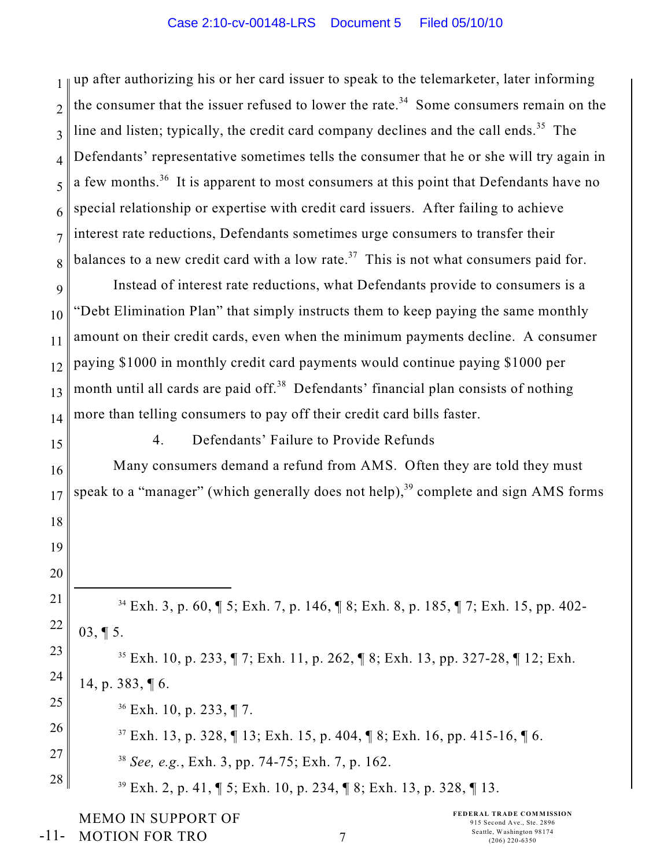1 2 3 4 5 6 7 8 9 10 11 12 13 14 15 16 17 18 19 20 21 22 23 24 25 26 27 28  $34$  Exh. 3, p. 60,  $\sqrt{5}$ ; Exh. 7, p. 146,  $\sqrt{8}$ ; Exh. 8, p. 185,  $\sqrt{7}$ ; Exh. 15, pp. 402-03, ¶ 5. <sup>35</sup> Exh. 10, p. 233,  $\P$  7; Exh. 11, p. 262,  $\P$  8; Exh. 13, pp. 327-28,  $\P$  12; Exh. 14, p. 383, ¶ 6.  $36$  Exh. 10, p. 233, ¶ 7.  $^{37}$  Exh. 13, p. 328,  $\P$  13; Exh. 15, p. 404,  $\P$  8; Exh. 16, pp. 415-16,  $\P$  6. <sup>38</sup> See, e.g., Exh. 3, pp. 74-75; Exh. 7, p. 162.  $^{39}$  Exh. 2, p. 41,  $\sqrt{5}$ ; Exh. 10, p. 234,  $\sqrt{8}$ ; Exh. 13, p. 328,  $\sqrt{1}$  13. up after authorizing his or her card issuer to speak to the telemarketer, later informing the consumer that the issuer refused to lower the rate.<sup>34</sup> Some consumers remain on the line and listen; typically, the credit card company declines and the call ends.<sup>35</sup> The Defendants' representative sometimes tells the consumer that he or she will try again in a few months.<sup>36</sup> It is apparent to most consumers at this point that Defendants have no special relationship or expertise with credit card issuers. After failing to achieve interest rate reductions, Defendants sometimes urge consumers to transfer their balances to a new credit card with a low rate.<sup>37</sup> This is not what consumers paid for. Instead of interest rate reductions, what Defendants provide to consumers is a "Debt Elimination Plan" that simply instructs them to keep paying the same monthly amount on their credit cards, even when the minimum payments decline. A consumer paying \$1000 in monthly credit card payments would continue paying \$1000 per month until all cards are paid off.<sup>38</sup> Defendants' financial plan consists of nothing more than telling consumers to pay off their credit card bills faster. 4. Defendants' Failure to Provide Refunds Many consumers demand a refund from AMS. Often they are told they must speak to a "manager" (which generally does not help), $39$  complete and sign AMS forms

MEMO IN SUPPORT OF MOTION FOR TRO -11-

**FEDERAL TRADE COMMISSION** 915 Second Ave., Ste. 2896 Seattle, Washington 98174<br>  $(206)$  220-6350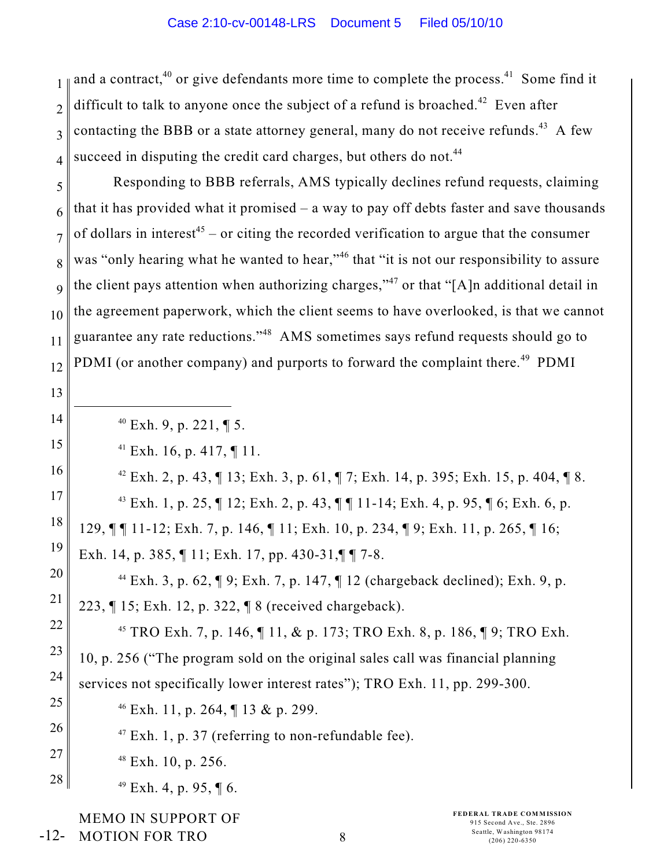1 2 3 4 and a contract.<sup>40</sup> or give defendants more time to complete the process.<sup>41</sup> Some find it difficult to talk to anyone once the subject of a refund is broached.<sup> $42$ </sup> Even after contacting the BBB or a state attorney general, many do not receive refunds.<sup>43</sup> A few succeed in disputing the credit card charges, but others do not.<sup>44</sup>

5 6 7 8 9 10 11 12 Responding to BBB referrals, AMS typically declines refund requests, claiming that it has provided what it promised  $-$  a way to pay off debts faster and save thousands of dollars in interest<sup>45</sup> – or citing the recorded verification to argue that the consumer was "only hearing what he wanted to hear,"<sup>46</sup> that "it is not our responsibility to assure the client pays attention when authorizing charges,"<sup>47</sup> or that "[A]n additional detail in the agreement paperwork, which the client seems to have overlooked, is that we cannot guarantee any rate reductions."<sup>48</sup> AMS sometimes says refund requests should go to PDMI (or another company) and purports to forward the complaint there.<sup>49</sup> PDMI

13 14 15 16 17 18 19 20 21 22 23 24 25 26 27 28  $40$  Exh. 9, p. 221, ¶ 5.  $^{41}$  Exh. 16, p. 417, ¶ 11. <sup>42</sup> Exh. 2, p. 43,  $\parallel$  13; Exh. 3, p. 61,  $\parallel$  7; Exh. 14, p. 395; Exh. 15, p. 404,  $\parallel$  8. <sup>43</sup> Exh. 1, p. 25,  $\P$  12; Exh. 2, p. 43,  $\P$  $\P$  11-14; Exh. 4, p. 95,  $\P$  6; Exh. 6, p. 129, ¶ ¶ 11-12; Exh. 7, p. 146, ¶ 11; Exh. 10, p. 234, ¶ 9; Exh. 11, p. 265, ¶ 16; Exh. 14, p. 385, ¶ 11; Exh. 17, pp. 430-31,¶ ¶ 7-8. <sup>44</sup> Exh. 3, p. 62,  $\P$  9; Exh. 7, p. 147,  $\P$  12 (chargeback declined); Exh. 9, p. 223, ¶ 15; Exh. 12, p. 322, ¶ 8 (received chargeback). <sup>45</sup> TRO Exh. 7, p. 146,  $\P$  11, & p. 173; TRO Exh. 8, p. 186,  $\P$ 9; TRO Exh. 10, p. 256 ("The program sold on the original sales call was financial planning services not specifically lower interest rates"); TRO Exh. 11, pp. 299-300. <sup>46</sup> Exh. 11, p. 264,  $\P$  13 & p. 299.  $47$  Exh. 1, p. 37 (referring to non-refundable fee).  $48$  Exh. 10, p. 256.  $49$  Exh. 4, p. 95, ¶ 6.

MEMO IN SUPPORT OF MOTION FOR TRO -12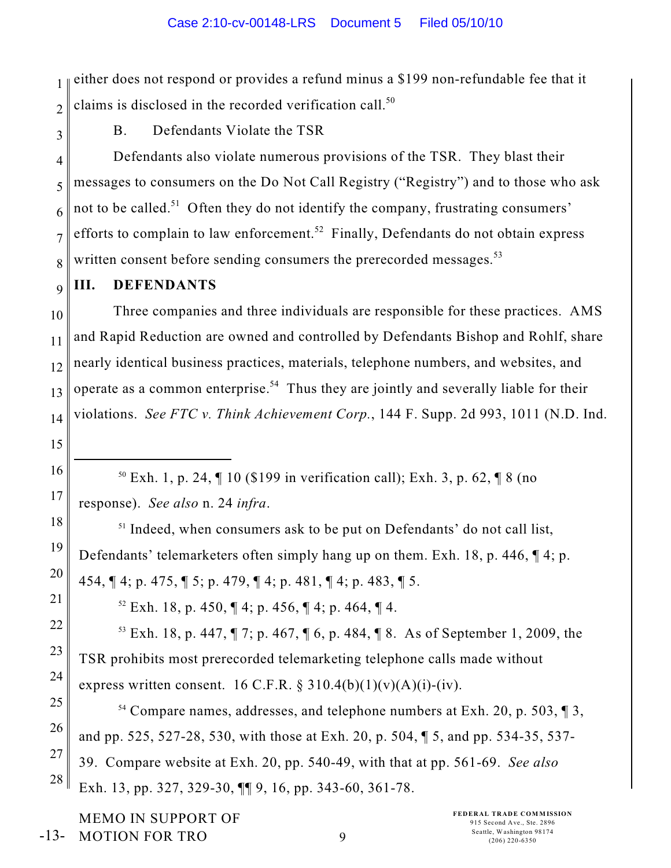1 2 either does not respond or provides a refund minus a \$199 non-refundable fee that it claims is disclosed in the recorded verification call. $50$ 

3

15

16

17

18

19

20

21

22

23

24

B. Defendants Violate the TSR

4 5 6 7 8 Defendants also violate numerous provisions of the TSR. They blast their messages to consumers on the Do Not Call Registry ("Registry") and to those who ask not to be called.<sup>51</sup> Often they do not identify the company, frustrating consumers' efforts to complain to law enforcement.<sup>52</sup> Finally, Defendants do not obtain express written consent before sending consumers the prerecorded messages.<sup>53</sup>

9 **III. DEFENDANTS**

10 11 12 13 14 Three companies and three individuals are responsible for these practices. AMS and Rapid Reduction are owned and controlled by Defendants Bishop and Rohlf, share nearly identical business practices, materials, telephone numbers, and websites, and operate as a common enterprise.<sup>54</sup> Thus they are jointly and severally liable for their violations. *See FTC v. Think Achievement Corp.*, 144 F. Supp. 2d 993, 1011 (N.D. Ind.

 $50$  Exh. 1, p. 24,  $\P$  10 (\$199 in verification call); Exh. 3, p. 62,  $\P$  8 (no response). *See also* n. 24 *infra*.

 $<sup>51</sup>$  Indeed, when consumers ask to be put on Defendants' do not call list,</sup> Defendants' telemarketers often simply hang up on them. Exh. 18, p. 446, ¶ 4; p. 454, ¶ 4; p. 475, ¶ 5; p. 479, ¶ 4; p. 481, ¶ 4; p. 483, ¶ 5.

 $52$  Exh. 18, p. 450,  $\P$  4; p. 456,  $\P$  4; p. 464,  $\P$  4.

<sup>53</sup> Exh. 18, p. 447,  $\P$  7; p. 467,  $\P$  6, p. 484,  $\P$  8. As of September 1, 2009, the TSR prohibits most prerecorded telemarketing telephone calls made without express written consent. 16 C.F.R.  $\S 310.4(b)(1)(v)(A)(i)-(iv)$ .

25 26 27 28 <sup>54</sup> Compare names, addresses, and telephone numbers at Exh. 20, p. 503,  $\llbracket$  3, and pp. 525, 527-28, 530, with those at Exh. 20, p. 504, ¶ 5, and pp. 534-35, 537- 39. Compare website at Exh. 20, pp. 540-49, with that at pp. 561-69. *See also* Exh. 13, pp. 327, 329-30, ¶¶ 9, 16, pp. 343-60, 361-78.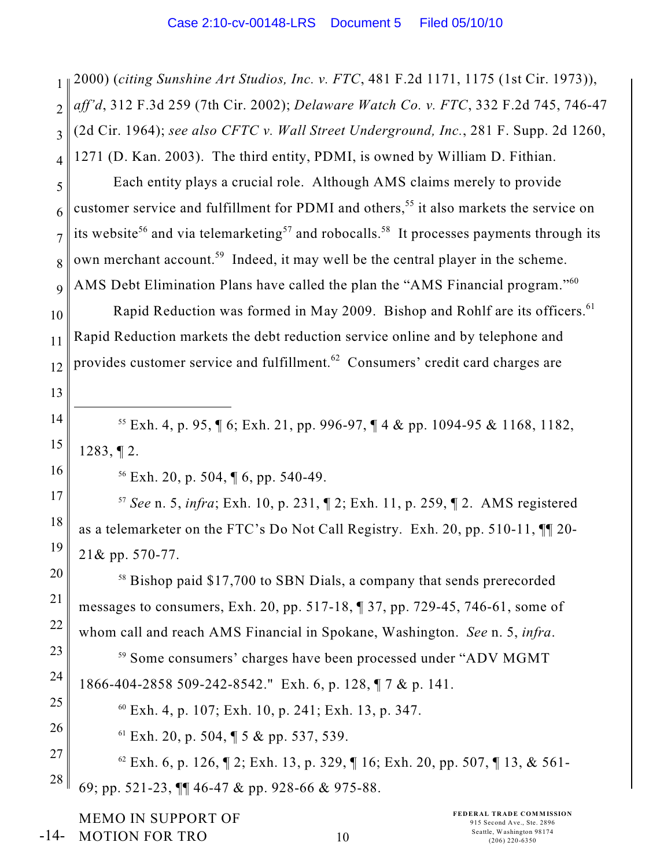1 2 3 4 2000) (*citing Sunshine Art Studios, Inc. v. FTC*, 481 F.2d 1171, 1175 (1st Cir. 1973)), *aff'd*, 312 F.3d 259 (7th Cir. 2002); *Delaware Watch Co. v. FTC*, 332 F.2d 745, 746-47 (2d Cir. 1964); *see also CFTC v. Wall Street Underground, Inc.*, 281 F. Supp. 2d 1260, 1271 (D. Kan. 2003). The third entity, PDMI, is owned by William D. Fithian.

5 6 7 8 9 Each entity plays a crucial role. Although AMS claims merely to provide customer service and fulfillment for PDMI and others,<sup>55</sup> it also markets the service on its website<sup>56</sup> and via telemarketing<sup>57</sup> and robocalls.<sup>58</sup> It processes payments through its own merchant account.<sup>59</sup> Indeed, it may well be the central player in the scheme. AMS Debt Elimination Plans have called the plan the "AMS Financial program."<sup>60</sup>

10 11 12 Rapid Reduction was formed in May 2009. Bishop and Rohlf are its officers.<sup>61</sup> Rapid Reduction markets the debt reduction service online and by telephone and provides customer service and fulfillment. $62$  Consumers' credit card charges are

<sup>55</sup> Exh. 4, p. 95,  $\lceil 6$ ; Exh. 21, pp. 996-97,  $\lceil 4 \&$  pp. 1094-95 & 1168, 1182, 1283, ¶ 2.

 $56$  Exh. 20, p. 504,  $\sqrt{6}$ , pp. 540-49.

13

14

15

16

17

18

19

20

21

22

23

24

25

26

*See* n. 5, *infra*; Exh. 10, p. 231, ¶ 2; Exh. 11, p. 259, ¶ 2. AMS registered <sup>57</sup> as a telemarketer on the FTC's Do Not Call Registry. Exh. 20, pp. 510-11, ¶¶ 20- 21& pp. 570-77.

 $58$  Bishop paid \$17,700 to SBN Dials, a company that sends prerecorded messages to consumers, Exh. 20, pp. 517-18, ¶ 37, pp. 729-45, 746-61, some of whom call and reach AMS Financial in Spokane, Washington. *See* n. 5, *infra*.

<sup>59</sup> Some consumers' charges have been processed under "ADV MGMT" 1866-404-2858 509-242-8542." Exh. 6, p. 128, ¶ 7 & p. 141.

 $^{60}$  Exh. 4, p. 107; Exh. 10, p. 241; Exh. 13, p. 347.

 $^{61}$  Exh. 20, p. 504, ¶ 5 & pp. 537, 539.

27 28  $^{62}$  Exh. 6, p. 126,  $\sqrt{2}$ ; Exh. 13, p. 329,  $\sqrt{2}$  16; Exh. 20, pp. 507,  $\sqrt{2}$  13, & 561-69; pp. 521-23, ¶¶ 46-47 & pp. 928-66 & 975-88.

MEMO IN SUPPORT OF MOTION FOR TRO -14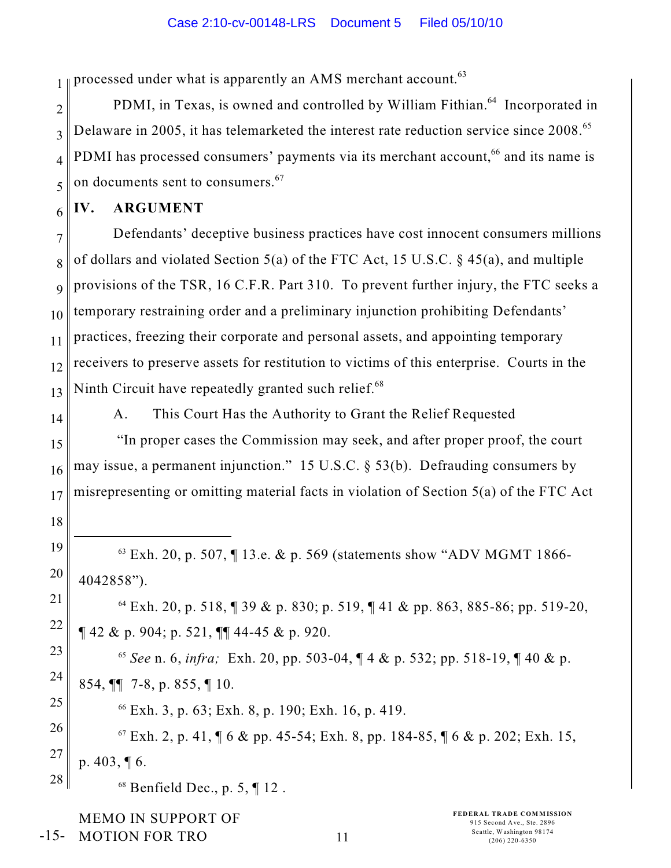1 processed under what is apparently an AMS merchant account.<sup>63</sup>

2 3 4 5 PDMI, in Texas, is owned and controlled by William Fithian.<sup>64</sup> Incorporated in Delaware in 2005, it has telemarketed the interest rate reduction service since 2008.<sup>65</sup> PDMI has processed consumers' payments via its merchant account,<sup>66</sup> and its name is on documents sent to consumers. <sup>67</sup>

#### 6 **IV. ARGUMENT**

7 8 9 10 11 12 13 Defendants' deceptive business practices have cost innocent consumers millions of dollars and violated Section 5(a) of the FTC Act, 15 U.S.C. § 45(a), and multiple provisions of the TSR, 16 C.F.R. Part 310. To prevent further injury, the FTC seeks a temporary restraining order and a preliminary injunction prohibiting Defendants' practices, freezing their corporate and personal assets, and appointing temporary receivers to preserve assets for restitution to victims of this enterprise. Courts in the Ninth Circuit have repeatedly granted such relief.<sup>68</sup>

14

18

19

20

21

22

25

A. This Court Has the Authority to Grant the Relief Requested

15 16 17 "In proper cases the Commission may seek, and after proper proof, the court may issue, a permanent injunction." 15 U.S.C. § 53(b). Defrauding consumers by misrepresenting or omitting material facts in violation of Section 5(a) of the FTC Act

 $^{63}$  Exh. 20, p. 507, ¶ 13.e. & p. 569 (statements show "ADV MGMT 1866-4042858").

 $^{64}$  Exh. 20, p. 518, ¶ 39 & p. 830; p. 519, ¶ 41 & pp. 863, 885-86; pp. 519-20, ¶ 42 & p. 904; p. 521, ¶¶ 44-45 & p. 920.

23 24 <sup>65</sup> See n. 6, *infra*; Exh. 20, pp. 503-04,  $\P$  4 & p. 532; pp. 518-19,  $\P$  40 & p. 854, ¶¶ 7-8, p. 855, ¶ 10.

 $66$  Exh. 3, p. 63; Exh. 8, p. 190; Exh. 16, p. 419.

26 27 28  $^{67}$  Exh. 2, p. 41,  $\sqrt{6}$  & pp. 45-54; Exh. 8, pp. 184-85,  $\sqrt{6}$  & p. 202; Exh. 15, p. 403, ¶ 6.

 $68$  Benfield Dec., p. 5, ¶ 12.

MEMO IN SUPPORT OF MOTION FOR TRO -15-

**FEDERAL TRADE COMMISSION** 915 Second Ave., Ste. 2896 Seattle, Washington 98174<br>
(206) 220-6350<br>
(206) 220-6350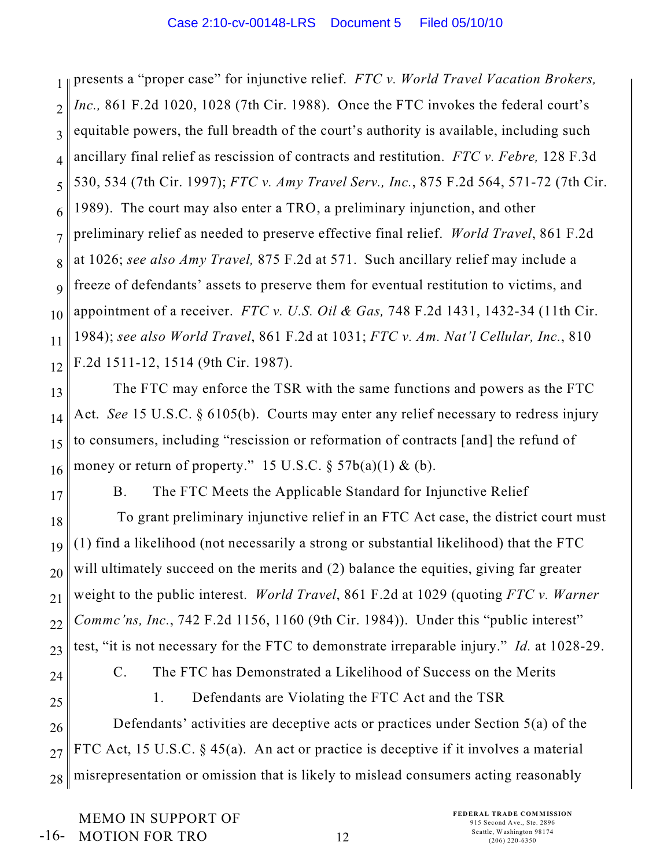1 2 3 4 5 6 7 8 9 10 11 12 presents a "proper case" for injunctive relief. *FTC v. World Travel Vacation Brokers, Inc.,* 861 F.2d 1020, 1028 (7th Cir. 1988). Once the FTC invokes the federal court's equitable powers, the full breadth of the court's authority is available, including such ancillary final relief as rescission of contracts and restitution. *FTC v. Febre,* 128 F.3d 530, 534 (7th Cir. 1997); *FTC v. Amy Travel Serv., Inc.*, 875 F.2d 564, 571-72 (7th Cir. 1989). The court may also enter a TRO, a preliminary injunction, and other preliminary relief as needed to preserve effective final relief. *World Travel*, 861 F.2d at 1026; *see also Amy Travel,* 875 F.2d at 571. Such ancillary relief may include a freeze of defendants' assets to preserve them for eventual restitution to victims, and appointment of a receiver. *FTC v. U.S. Oil & Gas,* 748 F.2d 1431, 1432-34 (11th Cir. 1984); *see also World Travel*, 861 F.2d at 1031; *FTC v. Am. Nat'l Cellular, Inc.*, 810 F.2d 1511-12, 1514 (9th Cir. 1987).

13 14 15 16 The FTC may enforce the TSR with the same functions and powers as the FTC Act. *See* 15 U.S.C. § 6105(b). Courts may enter any relief necessary to redress injury to consumers, including "rescission or reformation of contracts [and] the refund of money or return of property." 15 U.S.C.  $\S$  57b(a)(1) & (b).

17 18 19 20 21 22 23 B. The FTC Meets the Applicable Standard for Injunctive Relief To grant preliminary injunctive relief in an FTC Act case, the district court must (1) find a likelihood (not necessarily a strong or substantial likelihood) that the FTC will ultimately succeed on the merits and (2) balance the equities, giving far greater weight to the public interest. *World Travel*, 861 F.2d at 1029 (quoting *FTC v. Warner Commc'ns, Inc.*, 742 F.2d 1156, 1160 (9th Cir. 1984)). Under this "public interest" test, "it is not necessary for the FTC to demonstrate irreparable injury." *Id.* at 1028-29.

24

C. The FTC has Demonstrated a Likelihood of Success on the Merits

25

1. Defendants are Violating the FTC Act and the TSR

26 27 28 Defendants' activities are deceptive acts or practices under Section 5(a) of the FTC Act, 15 U.S.C. § 45(a). An act or practice is deceptive if it involves a material misrepresentation or omission that is likely to mislead consumers acting reasonably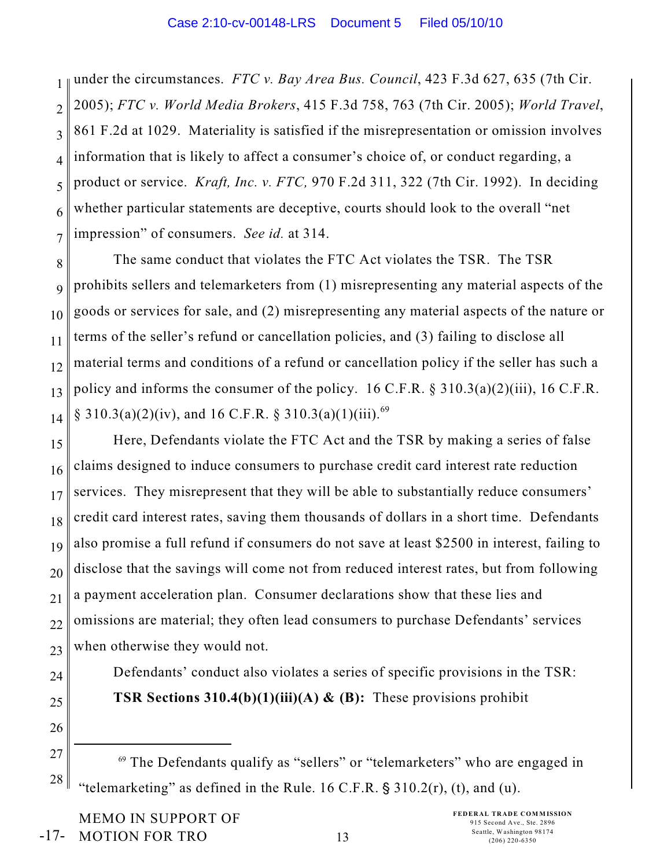1 2 3 4 5 6 7 under the circumstances. *FTC v. Bay Area Bus. Council*, 423 F.3d 627, 635 (7th Cir. 2005); *FTC v. World Media Brokers*, 415 F.3d 758, 763 (7th Cir. 2005); *World Travel*, 861 F.2d at 1029. Materiality is satisfied if the misrepresentation or omission involves information that is likely to affect a consumer's choice of, or conduct regarding, a product or service. *Kraft, Inc. v. FTC,* 970 F.2d 311, 322 (7th Cir. 1992). In deciding whether particular statements are deceptive, courts should look to the overall "net impression" of consumers. *See id.* at 314.

8 9 10 11 12 13 14 The same conduct that violates the FTC Act violates the TSR. The TSR prohibits sellers and telemarketers from (1) misrepresenting any material aspects of the goods or services for sale, and (2) misrepresenting any material aspects of the nature or terms of the seller's refund or cancellation policies, and (3) failing to disclose all material terms and conditions of a refund or cancellation policy if the seller has such a policy and informs the consumer of the policy. 16 C.F.R. § 310.3(a)(2)(iii), 16 C.F.R.  $\S$  310.3(a)(2)(iv), and 16 C.F.R.  $\S$  310.3(a)(1)(iii).<sup>69</sup>

15 16 17 18 19 20 21 22 23 Here, Defendants violate the FTC Act and the TSR by making a series of false claims designed to induce consumers to purchase credit card interest rate reduction services. They misrepresent that they will be able to substantially reduce consumers' credit card interest rates, saving them thousands of dollars in a short time. Defendants also promise a full refund if consumers do not save at least \$2500 in interest, failing to disclose that the savings will come not from reduced interest rates, but from following a payment acceleration plan. Consumer declarations show that these lies and omissions are material; they often lead consumers to purchase Defendants' services when otherwise they would not.

- 24
- 25

26

Defendants' conduct also violates a series of specific provisions in the TSR: **TSR Sections 310.4(b)(1)(iii)(A) & (B):** These provisions prohibit

27 28  $69$  The Defendants qualify as "sellers" or "telemarketers" who are engaged in "telemarketing" as defined in the Rule. 16 C.F.R.  $\S$  310.2(r), (t), and (u).

MEMO IN SUPPORT OF MOTION FOR TRO -17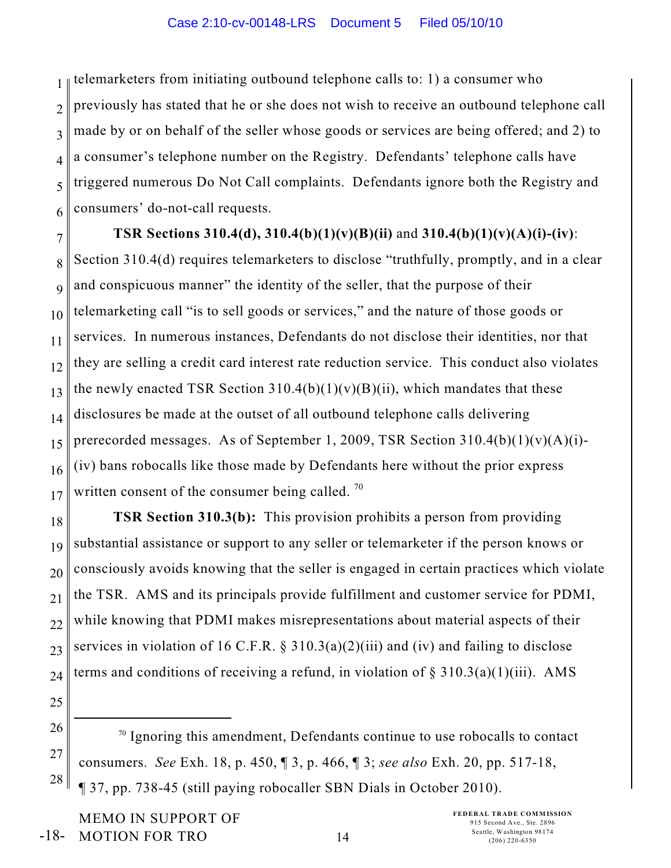1 2 3 4 5 6 telemarketers from initiating outbound telephone calls to: 1) a consumer who previously has stated that he or she does not wish to receive an outbound telephone call made by or on behalf of the seller whose goods or services are being offered; and 2) to a consumer's telephone number on the Registry. Defendants' telephone calls have triggered numerous Do Not Call complaints. Defendants ignore both the Registry and consumers' do-not-call requests.

7

# **TSR Sections 310.4(d), 310.4(b)(1)(v)(B)(ii)** and **310.4(b)(1)(v)(A)(i)-(iv)**:

8 9 10 11 12 13 14 15 16 17 Section 310.4(d) requires telemarketers to disclose "truthfully, promptly, and in a clear and conspicuous manner" the identity of the seller, that the purpose of their telemarketing call "is to sell goods or services," and the nature of those goods or services. In numerous instances, Defendants do not disclose their identities, nor that they are selling a credit card interest rate reduction service. This conduct also violates the newly enacted TSR Section  $310.4(b)(1)(v)(B)(ii)$ , which mandates that these disclosures be made at the outset of all outbound telephone calls delivering prerecorded messages. As of September 1, 2009, TSR Section  $310.4(b)(1)(v)(A)(i)$ -(iv) bans robocalls like those made by Defendants here without the prior express written consent of the consumer being called.<sup>70</sup>

18 19 20 21 22 23 24 **TSR Section 310.3(b):** This provision prohibits a person from providing substantial assistance or support to any seller or telemarketer if the person knows or consciously avoids knowing that the seller is engaged in certain practices which violate the TSR. AMS and its principals provide fulfillment and customer service for PDMI, while knowing that PDMI makes misrepresentations about material aspects of their services in violation of 16 C.F.R.  $\S$  310.3(a)(2)(iii) and (iv) and failing to disclose terms and conditions of receiving a refund, in violation of  $\S 310.3(a)(1)(iii)$ . AMS

- 25
- 26 27

28

 $\frac{70}{19}$  Ignoring this amendment, Defendants continue to use robocalls to contact consumers. *See* Exh. 18, p. 450, ¶ 3, p. 466, ¶ 3; *see also* Exh. 20, pp. 517-18, ¶ 37, pp. 738-45 (still paying robocaller SBN Dials in October 2010).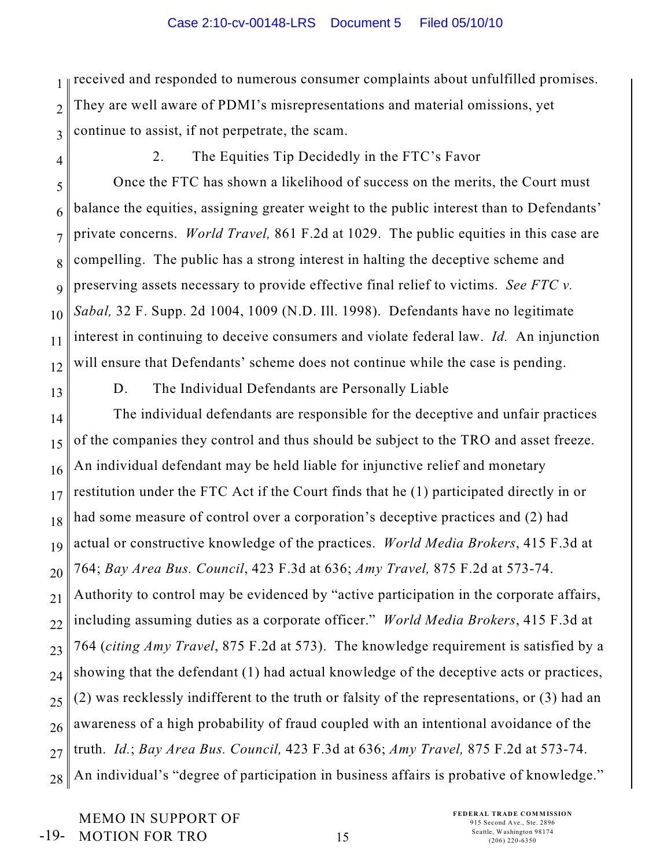1 2 3 received and responded to numerous consumer complaints about unfulfilled promises. They are well aware of PDMI's misrepresentations and material omissions, yet continue to assist, if not perpetrate, the scam.

4

2. The Equities Tip Decidedly in the FTC's Favor

5 6 7 8 9 10 11 12 Once the FTC has shown a likelihood of success on the merits, the Court must balance the equities, assigning greater weight to the public interest than to Defendants' private concerns. *World Travel,* 861 F.2d at 1029. The public equities in this case are compelling. The public has a strong interest in halting the deceptive scheme and preserving assets necessary to provide effective final relief to victims. *See FTC v. Sabal,* 32 F. Supp. 2d 1004, 1009 (N.D. Ill. 1998). Defendants have no legitimate interest in continuing to deceive consumers and violate federal law. *Id.* An injunction will ensure that Defendants' scheme does not continue while the case is pending.

13

D. The Individual Defendants are Personally Liable

14 15 16 17 18 19 20 21 22 23 24 25 26 27 28 The individual defendants are responsible for the deceptive and unfair practices of the companies they control and thus should be subject to the TRO and asset freeze. An individual defendant may be held liable for injunctive relief and monetary restitution under the FTC Act if the Court finds that he (1) participated directly in or had some measure of control over a corporation's deceptive practices and (2) had actual or constructive knowledge of the practices. *World Media Brokers*, 415 F.3d at 764; *Bay Area Bus. Council*, 423 F.3d at 636; *Amy Travel,* 875 F.2d at 573-74. Authority to control may be evidenced by "active participation in the corporate affairs, including assuming duties as a corporate officer." *World Media Brokers*, 415 F.3d at 764 (*citing Amy Travel*, 875 F.2d at 573). The knowledge requirement is satisfied by a showing that the defendant (1) had actual knowledge of the deceptive acts or practices, (2) was recklessly indifferent to the truth or falsity of the representations, or (3) had an awareness of a high probability of fraud coupled with an intentional avoidance of the truth. *Id.*; *Bay Area Bus. Council,* 423 F.3d at 636; *Amy Travel,* 875 F.2d at 573-74. An individual's "degree of participation in business affairs is probative of knowledge."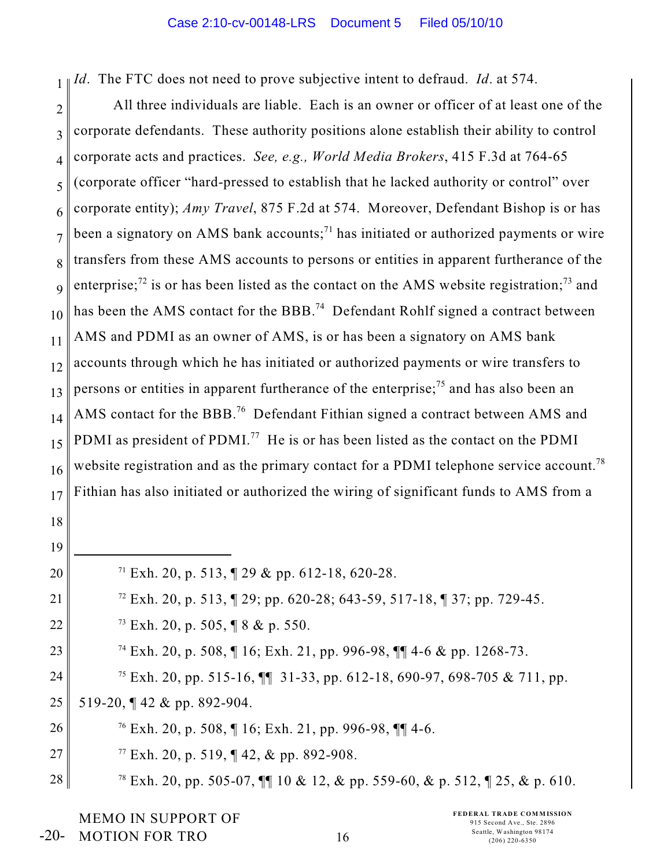1 *Id*. The FTC does not need to prove subjective intent to defraud. *Id*. at 574.

2 3 4 5 6 7 8 9 10 11 12 13 14 15 16 17 All three individuals are liable. Each is an owner or officer of at least one of the corporate defendants. These authority positions alone establish their ability to control corporate acts and practices. *See, e.g., World Media Brokers*, 415 F.3d at 764-65 (corporate officer "hard-pressed to establish that he lacked authority or control" over corporate entity); *Amy Travel*, 875 F.2d at 574. Moreover, Defendant Bishop is or has been a signatory on AMS bank accounts;<sup>71</sup> has initiated or authorized payments or wire transfers from these AMS accounts to persons or entities in apparent furtherance of the enterprise;<sup>72</sup> is or has been listed as the contact on the AMS website registration;<sup>73</sup> and has been the AMS contact for the BBB.<sup>74</sup> Defendant Rohlf signed a contract between AMS and PDMI as an owner of AMS, is or has been a signatory on AMS bank accounts through which he has initiated or authorized payments or wire transfers to persons or entities in apparent furtherance of the enterprise;<sup>75</sup> and has also been an AMS contact for the BBB.<sup>76</sup> Defendant Fithian signed a contract between AMS and PDMI as president of PDMI.<sup>77</sup> He is or has been listed as the contact on the PDMI website registration and as the primary contact for a PDMI telephone service account.<sup>78</sup> Fithian has also initiated or authorized the wiring of significant funds to AMS from a

18

19 20 21 22 23 24 25 26 27 28 <sup>71</sup> Exh. 20, p. 513,  $\sqrt{ }$  29 & pp. 612-18, 620-28. <sup>72</sup> Exh. 20, p. 513,  $\sqrt{2}$  29; pp. 620-28; 643-59, 517-18,  $\sqrt{2}$  37; pp. 729-45.  $73$  Exh. 20, p. 505, ¶ 8 & p. 550. <sup>74</sup> Exh. 20, p. 508,  $\P$  16; Exh. 21, pp. 996-98,  $\P$  $\P$  4-6 & pp. 1268-73. <sup>75</sup> Exh. 20, pp. 515-16,  $\P\P$  31-33, pp. 612-18, 690-97, 698-705 & 711, pp. 519-20, ¶ 42 & pp. 892-904.  $^{76}$  Exh. 20, p. 508, ¶ 16; Exh. 21, pp. 996-98, ¶¶ 4-6.  $^{77}$  Exh. 20, p. 519, ¶ 42, & pp. 892-908. <sup>78</sup> Exh. 20, pp. 505-07,  $\P\P$  10 & 12, & pp. 559-60, & p. 512,  $\P$  25, & p. 610.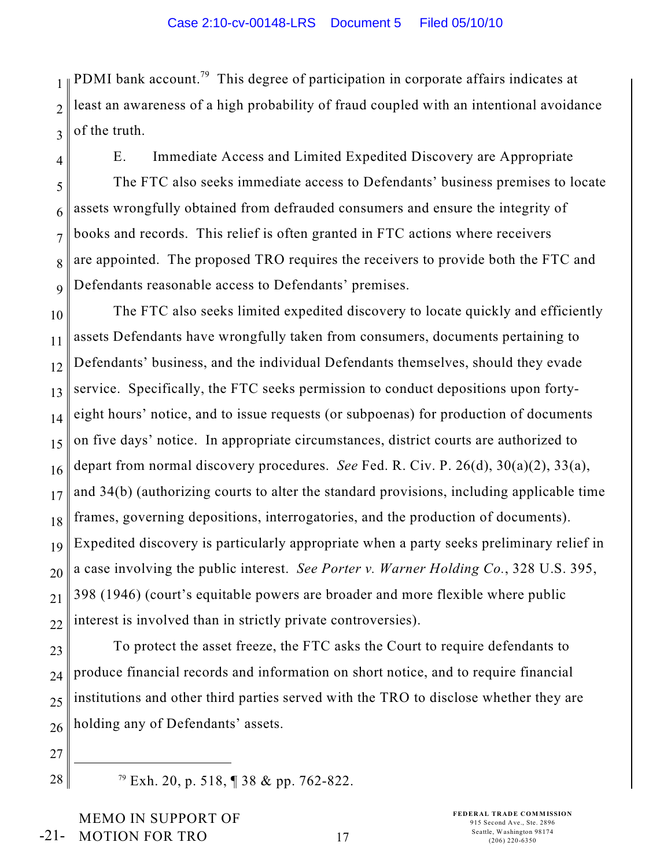1 2 3 PDMI bank account.<sup>79</sup> This degree of participation in corporate affairs indicates at least an awareness of a high probability of fraud coupled with an intentional avoidance of the truth.

4

5

6

7

8

9

E. Immediate Access and Limited Expedited Discovery are Appropriate The FTC also seeks immediate access to Defendants' business premises to locate assets wrongfully obtained from defrauded consumers and ensure the integrity of books and records. This relief is often granted in FTC actions where receivers are appointed. The proposed TRO requires the receivers to provide both the FTC and Defendants reasonable access to Defendants' premises.

10 11 12 13 14 15 16 17 18 19 20 21 22 The FTC also seeks limited expedited discovery to locate quickly and efficiently assets Defendants have wrongfully taken from consumers, documents pertaining to Defendants' business, and the individual Defendants themselves, should they evade service. Specifically, the FTC seeks permission to conduct depositions upon fortyeight hours' notice, and to issue requests (or subpoenas) for production of documents on five days' notice. In appropriate circumstances, district courts are authorized to depart from normal discovery procedures. *See* Fed. R. Civ. P. 26(d), 30(a)(2), 33(a), and 34(b) (authorizing courts to alter the standard provisions, including applicable time frames, governing depositions, interrogatories, and the production of documents). Expedited discovery is particularly appropriate when a party seeks preliminary relief in a case involving the public interest. *See Porter v. Warner Holding Co.*, 328 U.S. 395, 398 (1946) (court's equitable powers are broader and more flexible where public interest is involved than in strictly private controversies).

23 24 25 26 To protect the asset freeze, the FTC asks the Court to require defendants to produce financial records and information on short notice, and to require financial institutions and other third parties served with the TRO to disclose whether they are holding any of Defendants' assets.

27

 $28$   $\blacksquare$  <sup>79</sup> Exh. 20, p. 518,  $\blacksquare$  38 & pp. 762-822.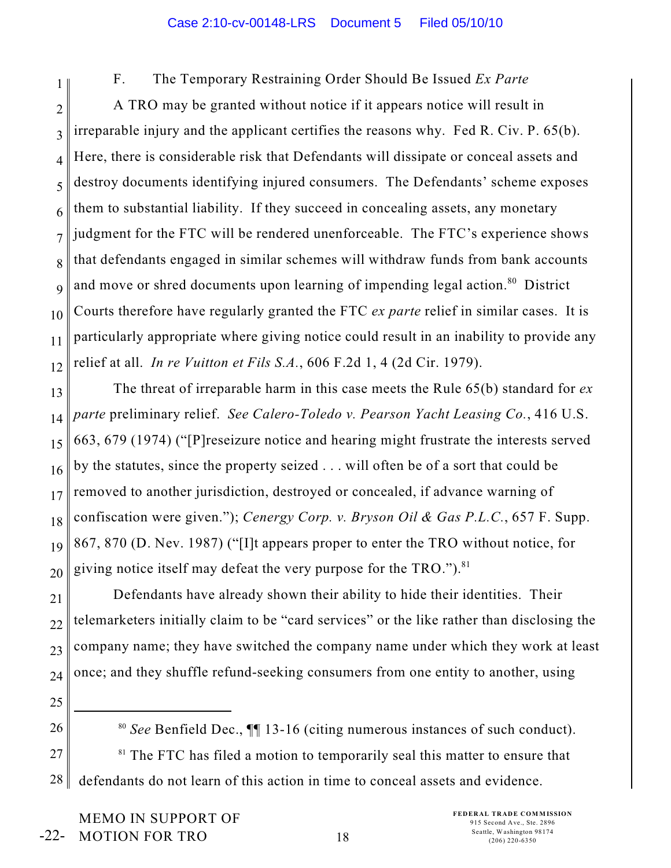1 2 3 4 5 6 7 8 9 10 11 12 F. The Temporary Restraining Order Should Be Issued *Ex Parte* A TRO may be granted without notice if it appears notice will result in irreparable injury and the applicant certifies the reasons why. Fed R. Civ. P. 65(b). Here, there is considerable risk that Defendants will dissipate or conceal assets and destroy documents identifying injured consumers. The Defendants' scheme exposes them to substantial liability. If they succeed in concealing assets, any monetary judgment for the FTC will be rendered unenforceable. The FTC's experience shows that defendants engaged in similar schemes will withdraw funds from bank accounts and move or shred documents upon learning of impending legal action.<sup>80</sup> District Courts therefore have regularly granted the FTC *ex parte* relief in similar cases. It is particularly appropriate where giving notice could result in an inability to provide any relief at all. *In re Vuitton et Fils S.A.*, 606 F.2d 1, 4 (2d Cir. 1979).

13 14 15 16 17 18 19 20 The threat of irreparable harm in this case meets the Rule 65(b) standard for *ex parte* preliminary relief. *See Calero-Toledo v. Pearson Yacht Leasing Co.*, 416 U.S. 663, 679 (1974) ("[P]reseizure notice and hearing might frustrate the interests served by the statutes, since the property seized . . . will often be of a sort that could be removed to another jurisdiction, destroyed or concealed, if advance warning of confiscation were given."); *Cenergy Corp. v. Bryson Oil & Gas P.L.C.*, 657 F. Supp. 867, 870 (D. Nev. 1987) ("[I]t appears proper to enter the TRO without notice, for giving notice itself may defeat the very purpose for the TRO.").  $81$ 

21 22 23 24 Defendants have already shown their ability to hide their identities. Their telemarketers initially claim to be "card services" or the like rather than disclosing the company name; they have switched the company name under which they work at least once; and they shuffle refund-seeking consumers from one entity to another, using

25

26

27

28

<sup>80</sup> See Benfield Dec.,  $\P$  13-16 (citing numerous instances of such conduct).  $81$  The FTC has filed a motion to temporarily seal this matter to ensure that defendants do not learn of this action in time to conceal assets and evidence.

MEMO IN SUPPORT OF MOTION FOR TRO -22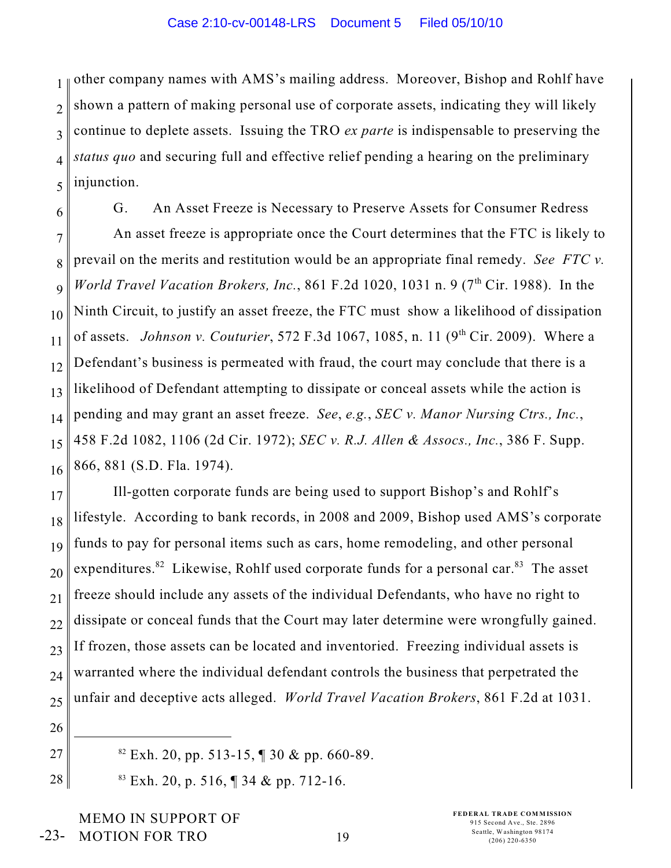1 2 3 4 5 other company names with AMS's mailing address. Moreover, Bishop and Rohlf have shown a pattern of making personal use of corporate assets, indicating they will likely continue to deplete assets. Issuing the TRO *ex parte* is indispensable to preserving the *status quo* and securing full and effective relief pending a hearing on the preliminary injunction.

6 7 8 9 10 11 12 13 14 15 16 G. An Asset Freeze is Necessary to Preserve Assets for Consumer Redress An asset freeze is appropriate once the Court determines that the FTC is likely to prevail on the merits and restitution would be an appropriate final remedy. *See FTC v. World Travel Vacation Brokers, Inc.*, 861 F.2d 1020, 1031 n. 9 (7<sup>th</sup> Cir. 1988). In the Ninth Circuit, to justify an asset freeze, the FTC must show a likelihood of dissipation of assets. *Johnson v. Couturier*, 572 F.3d 1067, 1085, n. 11 (9<sup>th</sup> Cir. 2009). Where a Defendant's business is permeated with fraud, the court may conclude that there is a likelihood of Defendant attempting to dissipate or conceal assets while the action is pending and may grant an asset freeze. *See*, *e.g.*, *SEC v. Manor Nursing Ctrs., Inc.*, 458 F.2d 1082, 1106 (2d Cir. 1972); *SEC v. R.J. Allen & Assocs., Inc.*, 386 F. Supp. 866, 881 (S.D. Fla. 1974).

17 18 19 20 21 22 23 24 25 Ill-gotten corporate funds are being used to support Bishop's and Rohlf's lifestyle. According to bank records, in 2008 and 2009, Bishop used AMS's corporate funds to pay for personal items such as cars, home remodeling, and other personal expenditures.<sup>82</sup> Likewise, Rohlf used corporate funds for a personal car.<sup>83</sup> The asset freeze should include any assets of the individual Defendants, who have no right to dissipate or conceal funds that the Court may later determine were wrongfully gained. If frozen, those assets can be located and inventoried. Freezing individual assets is warranted where the individual defendant controls the business that perpetrated the unfair and deceptive acts alleged. *World Travel Vacation Brokers*, 861 F.2d at 1031.

- 26
- 27
- $E$ <sub>82</sub> Exh. 20, pp. 513-15, ¶ 30 & pp. 660-89.
- 28
- $83$  Exh. 20, p. 516, ¶ 34 & pp. 712-16.
- MEMO IN SUPPORT OF MOTION FOR TRO -23-